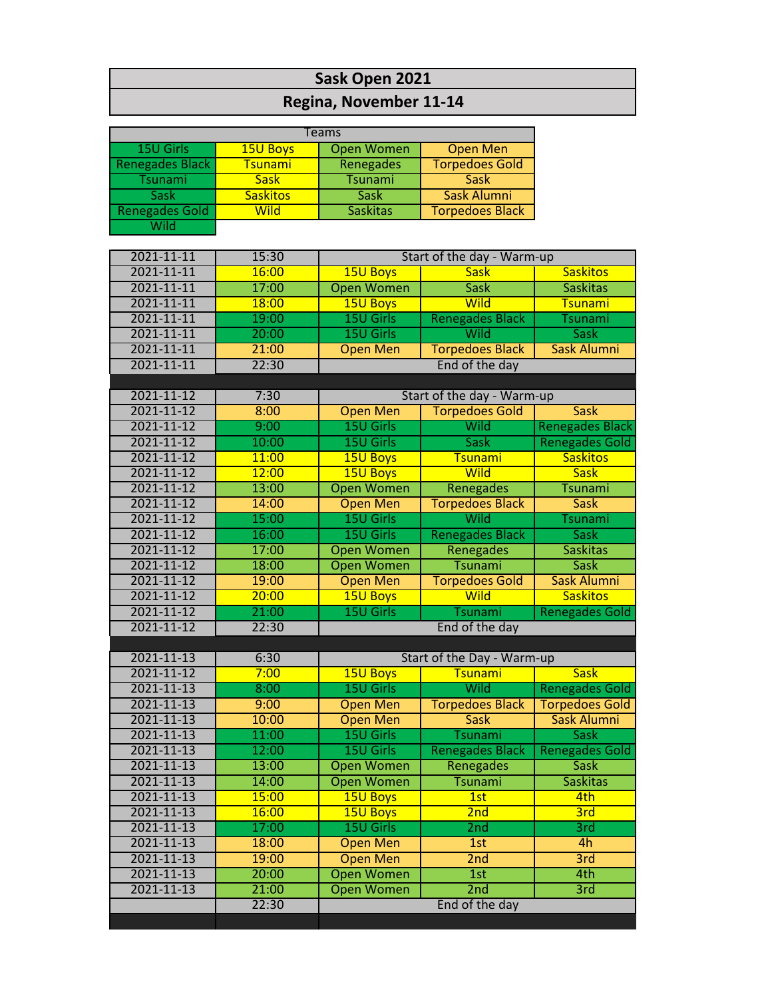## **Sask Open 2021**

## **Regina, November 11-14**

| 15U Girls<br><b>Open Men</b><br>15U Boys<br><b>Open Women</b><br><b>Renegades Black</b><br><b>Torpedoes Gold</b><br>Renegades<br><b>Tsunami</b><br>Tsunami<br><b>Sask</b><br><b>Tsunami</b><br><b>Sask</b><br>Sask Alumni<br><b>Sask</b><br><b>Saskitos</b><br><b>Sask</b><br><b>Renegades Gold</b><br><b>Saskitas</b><br><b>Torpedoes Black</b><br>Wild<br>Wild<br>2021-11-11<br>15:30<br>Start of the day - Warm-up<br>2021-11-11<br><b>Saskitos</b><br>16:00<br>15U Boys<br><b>Sask</b><br>2021-11-11<br>17:00<br><b>Open Women</b><br><b>Sask</b><br><b>Saskitas</b><br>2021-11-11<br>18:00<br>15U Boys<br><b>Wild</b><br><b>Tsunami</b><br>19:00<br>2021-11-11<br>15U Girls<br><b>Renegades Black</b><br><b>Tsunami</b><br>20:00<br>15U Girls<br>Wild<br>2021-11-11<br><b>Sask</b><br>2021-11-11<br>21:00<br><b>Open Men</b><br><b>Torpedoes Black</b><br><b>Sask Alumni</b><br>22:30<br>End of the day<br>2021-11-11<br>2021-11-12<br>7:30<br>Start of the day - Warm-up<br>2021-11-12<br>8:00<br><b>Open Men</b><br><b>Torpedoes Gold</b><br><b>Sask</b><br>15U Girls<br>2021-11-12<br>9:00<br>Wild<br><b>Renegades Black</b><br>10:00<br>15U Girls<br>2021-11-12<br><b>Sask</b><br><b>Renegades Gold</b><br>2021-11-12<br>11:00<br><b>15U Boys</b><br><b>Tsunami</b><br><b>Saskitos</b><br>15U Boys<br>Wild<br>2021-11-12<br>12:00<br><b>Sask</b><br>13:00<br><b>Open Women</b><br>2021-11-12<br>Renegades<br>Tsunami<br><b>Torpedoes Black</b><br>2021-11-12<br>14:00<br><b>Open Men</b><br><b>Sask</b><br>15U Girls<br>15:00<br>Wild<br>2021-11-12<br><b>Tsunami</b><br>15U Girls<br><b>Renegades Black</b><br>16:00<br><b>Sask</b><br>2021-11-12<br>17:00<br>2021-11-12<br><b>Open Women</b><br>Renegades<br><b>Saskitas</b><br>18:00<br><b>Open Women</b><br>2021-11-12<br>Tsunami<br><b>Sask</b><br>2021-11-12<br>19:00<br><b>Open Men</b><br><b>Torpedoes Gold</b><br><b>Sask Alumni</b><br>2021-11-12<br>20:00<br>Wild<br>15U Boys<br><b>Saskitos</b><br>21:00<br>15U Girls<br>2021-11-12<br><b>Renegades Gold</b><br>Tsunami<br>2021-11-12<br>22:30<br>End of the day<br>2021-11-13<br>6:30<br>Start of the Day - Warm-up<br>2021-11-12<br>7:00<br><b>15U Boys</b><br><b>Tsunami</b><br><b>Sask</b><br>8:00<br>15U Girls<br>Wild<br><b>Renegades Gold</b><br>2021-11-13<br>2021-11-13<br>9:00<br><b>Open Men</b><br><b>Torpedoes Black</b><br><b>Torpedoes Gold</b><br>2021-11-13<br>10:00<br><b>Open Men</b><br>Sask Alumni<br><b>Sask</b><br>11:00<br>2021-11-13<br>15U Girls<br><b>Sask</b><br><b>Tsunami</b><br>12:00<br>15U Girls<br><b>Renegades Black</b><br>2021-11-13<br><b>Renegades Gold</b><br><b>Open Women</b><br>2021-11-13<br>13:00<br><b>Sask</b><br>Renegades<br><b>Open Women</b><br>2021-11-13<br>14:00<br><b>Tsunami</b><br><b>Saskitas</b><br>2021-11-13<br>15:00<br>15U Boys<br>1st<br>4th<br>2021-11-13<br><b>15U Boys</b><br>16:00<br>3rd<br>2nd<br>17:00<br>15U Girls<br>2 <sub>nd</sub><br>3rd<br>2021-11-13<br>18:00<br>2021-11-13<br>4h<br><b>Open Men</b><br>1st<br>2021-11-13<br>3rd<br>19:00<br><b>Open Men</b><br>2nd<br>2021-11-13<br>20:00<br><b>Open Women</b><br>4th<br>1st<br><b>Open Women</b><br>2021-11-13<br>21:00<br>2nd<br>3rd<br>22:30<br>End of the day |  |  |  |  |  |  |
|-----------------------------------------------------------------------------------------------------------------------------------------------------------------------------------------------------------------------------------------------------------------------------------------------------------------------------------------------------------------------------------------------------------------------------------------------------------------------------------------------------------------------------------------------------------------------------------------------------------------------------------------------------------------------------------------------------------------------------------------------------------------------------------------------------------------------------------------------------------------------------------------------------------------------------------------------------------------------------------------------------------------------------------------------------------------------------------------------------------------------------------------------------------------------------------------------------------------------------------------------------------------------------------------------------------------------------------------------------------------------------------------------------------------------------------------------------------------------------------------------------------------------------------------------------------------------------------------------------------------------------------------------------------------------------------------------------------------------------------------------------------------------------------------------------------------------------------------------------------------------------------------------------------------------------------------------------------------------------------------------------------------------------------------------------------------------------------------------------------------------------------------------------------------------------------------------------------------------------------------------------------------------------------------------------------------------------------------------------------------------------------------------------------------------------------------------------------------------------------------------------------------------------------------------------------------------------------------------------------------------------------------------------------------------------------------------------------------------------------------------------------------------------------------------------------------------------------------------------------------------------------------------------------------------------------------------------------------------------------------------------------------------------------------------------------------------------------------------------------------------------------------------------------------------------------------------------------------------|--|--|--|--|--|--|
|                                                                                                                                                                                                                                                                                                                                                                                                                                                                                                                                                                                                                                                                                                                                                                                                                                                                                                                                                                                                                                                                                                                                                                                                                                                                                                                                                                                                                                                                                                                                                                                                                                                                                                                                                                                                                                                                                                                                                                                                                                                                                                                                                                                                                                                                                                                                                                                                                                                                                                                                                                                                                                                                                                                                                                                                                                                                                                                                                                                                                                                                                                                                                                                                                       |  |  |  |  |  |  |
|                                                                                                                                                                                                                                                                                                                                                                                                                                                                                                                                                                                                                                                                                                                                                                                                                                                                                                                                                                                                                                                                                                                                                                                                                                                                                                                                                                                                                                                                                                                                                                                                                                                                                                                                                                                                                                                                                                                                                                                                                                                                                                                                                                                                                                                                                                                                                                                                                                                                                                                                                                                                                                                                                                                                                                                                                                                                                                                                                                                                                                                                                                                                                                                                                       |  |  |  |  |  |  |
|                                                                                                                                                                                                                                                                                                                                                                                                                                                                                                                                                                                                                                                                                                                                                                                                                                                                                                                                                                                                                                                                                                                                                                                                                                                                                                                                                                                                                                                                                                                                                                                                                                                                                                                                                                                                                                                                                                                                                                                                                                                                                                                                                                                                                                                                                                                                                                                                                                                                                                                                                                                                                                                                                                                                                                                                                                                                                                                                                                                                                                                                                                                                                                                                                       |  |  |  |  |  |  |
|                                                                                                                                                                                                                                                                                                                                                                                                                                                                                                                                                                                                                                                                                                                                                                                                                                                                                                                                                                                                                                                                                                                                                                                                                                                                                                                                                                                                                                                                                                                                                                                                                                                                                                                                                                                                                                                                                                                                                                                                                                                                                                                                                                                                                                                                                                                                                                                                                                                                                                                                                                                                                                                                                                                                                                                                                                                                                                                                                                                                                                                                                                                                                                                                                       |  |  |  |  |  |  |
|                                                                                                                                                                                                                                                                                                                                                                                                                                                                                                                                                                                                                                                                                                                                                                                                                                                                                                                                                                                                                                                                                                                                                                                                                                                                                                                                                                                                                                                                                                                                                                                                                                                                                                                                                                                                                                                                                                                                                                                                                                                                                                                                                                                                                                                                                                                                                                                                                                                                                                                                                                                                                                                                                                                                                                                                                                                                                                                                                                                                                                                                                                                                                                                                                       |  |  |  |  |  |  |
|                                                                                                                                                                                                                                                                                                                                                                                                                                                                                                                                                                                                                                                                                                                                                                                                                                                                                                                                                                                                                                                                                                                                                                                                                                                                                                                                                                                                                                                                                                                                                                                                                                                                                                                                                                                                                                                                                                                                                                                                                                                                                                                                                                                                                                                                                                                                                                                                                                                                                                                                                                                                                                                                                                                                                                                                                                                                                                                                                                                                                                                                                                                                                                                                                       |  |  |  |  |  |  |
|                                                                                                                                                                                                                                                                                                                                                                                                                                                                                                                                                                                                                                                                                                                                                                                                                                                                                                                                                                                                                                                                                                                                                                                                                                                                                                                                                                                                                                                                                                                                                                                                                                                                                                                                                                                                                                                                                                                                                                                                                                                                                                                                                                                                                                                                                                                                                                                                                                                                                                                                                                                                                                                                                                                                                                                                                                                                                                                                                                                                                                                                                                                                                                                                                       |  |  |  |  |  |  |
|                                                                                                                                                                                                                                                                                                                                                                                                                                                                                                                                                                                                                                                                                                                                                                                                                                                                                                                                                                                                                                                                                                                                                                                                                                                                                                                                                                                                                                                                                                                                                                                                                                                                                                                                                                                                                                                                                                                                                                                                                                                                                                                                                                                                                                                                                                                                                                                                                                                                                                                                                                                                                                                                                                                                                                                                                                                                                                                                                                                                                                                                                                                                                                                                                       |  |  |  |  |  |  |
|                                                                                                                                                                                                                                                                                                                                                                                                                                                                                                                                                                                                                                                                                                                                                                                                                                                                                                                                                                                                                                                                                                                                                                                                                                                                                                                                                                                                                                                                                                                                                                                                                                                                                                                                                                                                                                                                                                                                                                                                                                                                                                                                                                                                                                                                                                                                                                                                                                                                                                                                                                                                                                                                                                                                                                                                                                                                                                                                                                                                                                                                                                                                                                                                                       |  |  |  |  |  |  |
|                                                                                                                                                                                                                                                                                                                                                                                                                                                                                                                                                                                                                                                                                                                                                                                                                                                                                                                                                                                                                                                                                                                                                                                                                                                                                                                                                                                                                                                                                                                                                                                                                                                                                                                                                                                                                                                                                                                                                                                                                                                                                                                                                                                                                                                                                                                                                                                                                                                                                                                                                                                                                                                                                                                                                                                                                                                                                                                                                                                                                                                                                                                                                                                                                       |  |  |  |  |  |  |
|                                                                                                                                                                                                                                                                                                                                                                                                                                                                                                                                                                                                                                                                                                                                                                                                                                                                                                                                                                                                                                                                                                                                                                                                                                                                                                                                                                                                                                                                                                                                                                                                                                                                                                                                                                                                                                                                                                                                                                                                                                                                                                                                                                                                                                                                                                                                                                                                                                                                                                                                                                                                                                                                                                                                                                                                                                                                                                                                                                                                                                                                                                                                                                                                                       |  |  |  |  |  |  |
|                                                                                                                                                                                                                                                                                                                                                                                                                                                                                                                                                                                                                                                                                                                                                                                                                                                                                                                                                                                                                                                                                                                                                                                                                                                                                                                                                                                                                                                                                                                                                                                                                                                                                                                                                                                                                                                                                                                                                                                                                                                                                                                                                                                                                                                                                                                                                                                                                                                                                                                                                                                                                                                                                                                                                                                                                                                                                                                                                                                                                                                                                                                                                                                                                       |  |  |  |  |  |  |
|                                                                                                                                                                                                                                                                                                                                                                                                                                                                                                                                                                                                                                                                                                                                                                                                                                                                                                                                                                                                                                                                                                                                                                                                                                                                                                                                                                                                                                                                                                                                                                                                                                                                                                                                                                                                                                                                                                                                                                                                                                                                                                                                                                                                                                                                                                                                                                                                                                                                                                                                                                                                                                                                                                                                                                                                                                                                                                                                                                                                                                                                                                                                                                                                                       |  |  |  |  |  |  |
|                                                                                                                                                                                                                                                                                                                                                                                                                                                                                                                                                                                                                                                                                                                                                                                                                                                                                                                                                                                                                                                                                                                                                                                                                                                                                                                                                                                                                                                                                                                                                                                                                                                                                                                                                                                                                                                                                                                                                                                                                                                                                                                                                                                                                                                                                                                                                                                                                                                                                                                                                                                                                                                                                                                                                                                                                                                                                                                                                                                                                                                                                                                                                                                                                       |  |  |  |  |  |  |
|                                                                                                                                                                                                                                                                                                                                                                                                                                                                                                                                                                                                                                                                                                                                                                                                                                                                                                                                                                                                                                                                                                                                                                                                                                                                                                                                                                                                                                                                                                                                                                                                                                                                                                                                                                                                                                                                                                                                                                                                                                                                                                                                                                                                                                                                                                                                                                                                                                                                                                                                                                                                                                                                                                                                                                                                                                                                                                                                                                                                                                                                                                                                                                                                                       |  |  |  |  |  |  |
|                                                                                                                                                                                                                                                                                                                                                                                                                                                                                                                                                                                                                                                                                                                                                                                                                                                                                                                                                                                                                                                                                                                                                                                                                                                                                                                                                                                                                                                                                                                                                                                                                                                                                                                                                                                                                                                                                                                                                                                                                                                                                                                                                                                                                                                                                                                                                                                                                                                                                                                                                                                                                                                                                                                                                                                                                                                                                                                                                                                                                                                                                                                                                                                                                       |  |  |  |  |  |  |
|                                                                                                                                                                                                                                                                                                                                                                                                                                                                                                                                                                                                                                                                                                                                                                                                                                                                                                                                                                                                                                                                                                                                                                                                                                                                                                                                                                                                                                                                                                                                                                                                                                                                                                                                                                                                                                                                                                                                                                                                                                                                                                                                                                                                                                                                                                                                                                                                                                                                                                                                                                                                                                                                                                                                                                                                                                                                                                                                                                                                                                                                                                                                                                                                                       |  |  |  |  |  |  |
|                                                                                                                                                                                                                                                                                                                                                                                                                                                                                                                                                                                                                                                                                                                                                                                                                                                                                                                                                                                                                                                                                                                                                                                                                                                                                                                                                                                                                                                                                                                                                                                                                                                                                                                                                                                                                                                                                                                                                                                                                                                                                                                                                                                                                                                                                                                                                                                                                                                                                                                                                                                                                                                                                                                                                                                                                                                                                                                                                                                                                                                                                                                                                                                                                       |  |  |  |  |  |  |
|                                                                                                                                                                                                                                                                                                                                                                                                                                                                                                                                                                                                                                                                                                                                                                                                                                                                                                                                                                                                                                                                                                                                                                                                                                                                                                                                                                                                                                                                                                                                                                                                                                                                                                                                                                                                                                                                                                                                                                                                                                                                                                                                                                                                                                                                                                                                                                                                                                                                                                                                                                                                                                                                                                                                                                                                                                                                                                                                                                                                                                                                                                                                                                                                                       |  |  |  |  |  |  |
|                                                                                                                                                                                                                                                                                                                                                                                                                                                                                                                                                                                                                                                                                                                                                                                                                                                                                                                                                                                                                                                                                                                                                                                                                                                                                                                                                                                                                                                                                                                                                                                                                                                                                                                                                                                                                                                                                                                                                                                                                                                                                                                                                                                                                                                                                                                                                                                                                                                                                                                                                                                                                                                                                                                                                                                                                                                                                                                                                                                                                                                                                                                                                                                                                       |  |  |  |  |  |  |
|                                                                                                                                                                                                                                                                                                                                                                                                                                                                                                                                                                                                                                                                                                                                                                                                                                                                                                                                                                                                                                                                                                                                                                                                                                                                                                                                                                                                                                                                                                                                                                                                                                                                                                                                                                                                                                                                                                                                                                                                                                                                                                                                                                                                                                                                                                                                                                                                                                                                                                                                                                                                                                                                                                                                                                                                                                                                                                                                                                                                                                                                                                                                                                                                                       |  |  |  |  |  |  |
|                                                                                                                                                                                                                                                                                                                                                                                                                                                                                                                                                                                                                                                                                                                                                                                                                                                                                                                                                                                                                                                                                                                                                                                                                                                                                                                                                                                                                                                                                                                                                                                                                                                                                                                                                                                                                                                                                                                                                                                                                                                                                                                                                                                                                                                                                                                                                                                                                                                                                                                                                                                                                                                                                                                                                                                                                                                                                                                                                                                                                                                                                                                                                                                                                       |  |  |  |  |  |  |
|                                                                                                                                                                                                                                                                                                                                                                                                                                                                                                                                                                                                                                                                                                                                                                                                                                                                                                                                                                                                                                                                                                                                                                                                                                                                                                                                                                                                                                                                                                                                                                                                                                                                                                                                                                                                                                                                                                                                                                                                                                                                                                                                                                                                                                                                                                                                                                                                                                                                                                                                                                                                                                                                                                                                                                                                                                                                                                                                                                                                                                                                                                                                                                                                                       |  |  |  |  |  |  |
|                                                                                                                                                                                                                                                                                                                                                                                                                                                                                                                                                                                                                                                                                                                                                                                                                                                                                                                                                                                                                                                                                                                                                                                                                                                                                                                                                                                                                                                                                                                                                                                                                                                                                                                                                                                                                                                                                                                                                                                                                                                                                                                                                                                                                                                                                                                                                                                                                                                                                                                                                                                                                                                                                                                                                                                                                                                                                                                                                                                                                                                                                                                                                                                                                       |  |  |  |  |  |  |
|                                                                                                                                                                                                                                                                                                                                                                                                                                                                                                                                                                                                                                                                                                                                                                                                                                                                                                                                                                                                                                                                                                                                                                                                                                                                                                                                                                                                                                                                                                                                                                                                                                                                                                                                                                                                                                                                                                                                                                                                                                                                                                                                                                                                                                                                                                                                                                                                                                                                                                                                                                                                                                                                                                                                                                                                                                                                                                                                                                                                                                                                                                                                                                                                                       |  |  |  |  |  |  |
|                                                                                                                                                                                                                                                                                                                                                                                                                                                                                                                                                                                                                                                                                                                                                                                                                                                                                                                                                                                                                                                                                                                                                                                                                                                                                                                                                                                                                                                                                                                                                                                                                                                                                                                                                                                                                                                                                                                                                                                                                                                                                                                                                                                                                                                                                                                                                                                                                                                                                                                                                                                                                                                                                                                                                                                                                                                                                                                                                                                                                                                                                                                                                                                                                       |  |  |  |  |  |  |
|                                                                                                                                                                                                                                                                                                                                                                                                                                                                                                                                                                                                                                                                                                                                                                                                                                                                                                                                                                                                                                                                                                                                                                                                                                                                                                                                                                                                                                                                                                                                                                                                                                                                                                                                                                                                                                                                                                                                                                                                                                                                                                                                                                                                                                                                                                                                                                                                                                                                                                                                                                                                                                                                                                                                                                                                                                                                                                                                                                                                                                                                                                                                                                                                                       |  |  |  |  |  |  |
|                                                                                                                                                                                                                                                                                                                                                                                                                                                                                                                                                                                                                                                                                                                                                                                                                                                                                                                                                                                                                                                                                                                                                                                                                                                                                                                                                                                                                                                                                                                                                                                                                                                                                                                                                                                                                                                                                                                                                                                                                                                                                                                                                                                                                                                                                                                                                                                                                                                                                                                                                                                                                                                                                                                                                                                                                                                                                                                                                                                                                                                                                                                                                                                                                       |  |  |  |  |  |  |
|                                                                                                                                                                                                                                                                                                                                                                                                                                                                                                                                                                                                                                                                                                                                                                                                                                                                                                                                                                                                                                                                                                                                                                                                                                                                                                                                                                                                                                                                                                                                                                                                                                                                                                                                                                                                                                                                                                                                                                                                                                                                                                                                                                                                                                                                                                                                                                                                                                                                                                                                                                                                                                                                                                                                                                                                                                                                                                                                                                                                                                                                                                                                                                                                                       |  |  |  |  |  |  |
|                                                                                                                                                                                                                                                                                                                                                                                                                                                                                                                                                                                                                                                                                                                                                                                                                                                                                                                                                                                                                                                                                                                                                                                                                                                                                                                                                                                                                                                                                                                                                                                                                                                                                                                                                                                                                                                                                                                                                                                                                                                                                                                                                                                                                                                                                                                                                                                                                                                                                                                                                                                                                                                                                                                                                                                                                                                                                                                                                                                                                                                                                                                                                                                                                       |  |  |  |  |  |  |
|                                                                                                                                                                                                                                                                                                                                                                                                                                                                                                                                                                                                                                                                                                                                                                                                                                                                                                                                                                                                                                                                                                                                                                                                                                                                                                                                                                                                                                                                                                                                                                                                                                                                                                                                                                                                                                                                                                                                                                                                                                                                                                                                                                                                                                                                                                                                                                                                                                                                                                                                                                                                                                                                                                                                                                                                                                                                                                                                                                                                                                                                                                                                                                                                                       |  |  |  |  |  |  |
|                                                                                                                                                                                                                                                                                                                                                                                                                                                                                                                                                                                                                                                                                                                                                                                                                                                                                                                                                                                                                                                                                                                                                                                                                                                                                                                                                                                                                                                                                                                                                                                                                                                                                                                                                                                                                                                                                                                                                                                                                                                                                                                                                                                                                                                                                                                                                                                                                                                                                                                                                                                                                                                                                                                                                                                                                                                                                                                                                                                                                                                                                                                                                                                                                       |  |  |  |  |  |  |
|                                                                                                                                                                                                                                                                                                                                                                                                                                                                                                                                                                                                                                                                                                                                                                                                                                                                                                                                                                                                                                                                                                                                                                                                                                                                                                                                                                                                                                                                                                                                                                                                                                                                                                                                                                                                                                                                                                                                                                                                                                                                                                                                                                                                                                                                                                                                                                                                                                                                                                                                                                                                                                                                                                                                                                                                                                                                                                                                                                                                                                                                                                                                                                                                                       |  |  |  |  |  |  |
|                                                                                                                                                                                                                                                                                                                                                                                                                                                                                                                                                                                                                                                                                                                                                                                                                                                                                                                                                                                                                                                                                                                                                                                                                                                                                                                                                                                                                                                                                                                                                                                                                                                                                                                                                                                                                                                                                                                                                                                                                                                                                                                                                                                                                                                                                                                                                                                                                                                                                                                                                                                                                                                                                                                                                                                                                                                                                                                                                                                                                                                                                                                                                                                                                       |  |  |  |  |  |  |
|                                                                                                                                                                                                                                                                                                                                                                                                                                                                                                                                                                                                                                                                                                                                                                                                                                                                                                                                                                                                                                                                                                                                                                                                                                                                                                                                                                                                                                                                                                                                                                                                                                                                                                                                                                                                                                                                                                                                                                                                                                                                                                                                                                                                                                                                                                                                                                                                                                                                                                                                                                                                                                                                                                                                                                                                                                                                                                                                                                                                                                                                                                                                                                                                                       |  |  |  |  |  |  |
|                                                                                                                                                                                                                                                                                                                                                                                                                                                                                                                                                                                                                                                                                                                                                                                                                                                                                                                                                                                                                                                                                                                                                                                                                                                                                                                                                                                                                                                                                                                                                                                                                                                                                                                                                                                                                                                                                                                                                                                                                                                                                                                                                                                                                                                                                                                                                                                                                                                                                                                                                                                                                                                                                                                                                                                                                                                                                                                                                                                                                                                                                                                                                                                                                       |  |  |  |  |  |  |
|                                                                                                                                                                                                                                                                                                                                                                                                                                                                                                                                                                                                                                                                                                                                                                                                                                                                                                                                                                                                                                                                                                                                                                                                                                                                                                                                                                                                                                                                                                                                                                                                                                                                                                                                                                                                                                                                                                                                                                                                                                                                                                                                                                                                                                                                                                                                                                                                                                                                                                                                                                                                                                                                                                                                                                                                                                                                                                                                                                                                                                                                                                                                                                                                                       |  |  |  |  |  |  |
|                                                                                                                                                                                                                                                                                                                                                                                                                                                                                                                                                                                                                                                                                                                                                                                                                                                                                                                                                                                                                                                                                                                                                                                                                                                                                                                                                                                                                                                                                                                                                                                                                                                                                                                                                                                                                                                                                                                                                                                                                                                                                                                                                                                                                                                                                                                                                                                                                                                                                                                                                                                                                                                                                                                                                                                                                                                                                                                                                                                                                                                                                                                                                                                                                       |  |  |  |  |  |  |
|                                                                                                                                                                                                                                                                                                                                                                                                                                                                                                                                                                                                                                                                                                                                                                                                                                                                                                                                                                                                                                                                                                                                                                                                                                                                                                                                                                                                                                                                                                                                                                                                                                                                                                                                                                                                                                                                                                                                                                                                                                                                                                                                                                                                                                                                                                                                                                                                                                                                                                                                                                                                                                                                                                                                                                                                                                                                                                                                                                                                                                                                                                                                                                                                                       |  |  |  |  |  |  |
|                                                                                                                                                                                                                                                                                                                                                                                                                                                                                                                                                                                                                                                                                                                                                                                                                                                                                                                                                                                                                                                                                                                                                                                                                                                                                                                                                                                                                                                                                                                                                                                                                                                                                                                                                                                                                                                                                                                                                                                                                                                                                                                                                                                                                                                                                                                                                                                                                                                                                                                                                                                                                                                                                                                                                                                                                                                                                                                                                                                                                                                                                                                                                                                                                       |  |  |  |  |  |  |
|                                                                                                                                                                                                                                                                                                                                                                                                                                                                                                                                                                                                                                                                                                                                                                                                                                                                                                                                                                                                                                                                                                                                                                                                                                                                                                                                                                                                                                                                                                                                                                                                                                                                                                                                                                                                                                                                                                                                                                                                                                                                                                                                                                                                                                                                                                                                                                                                                                                                                                                                                                                                                                                                                                                                                                                                                                                                                                                                                                                                                                                                                                                                                                                                                       |  |  |  |  |  |  |
|                                                                                                                                                                                                                                                                                                                                                                                                                                                                                                                                                                                                                                                                                                                                                                                                                                                                                                                                                                                                                                                                                                                                                                                                                                                                                                                                                                                                                                                                                                                                                                                                                                                                                                                                                                                                                                                                                                                                                                                                                                                                                                                                                                                                                                                                                                                                                                                                                                                                                                                                                                                                                                                                                                                                                                                                                                                                                                                                                                                                                                                                                                                                                                                                                       |  |  |  |  |  |  |
|                                                                                                                                                                                                                                                                                                                                                                                                                                                                                                                                                                                                                                                                                                                                                                                                                                                                                                                                                                                                                                                                                                                                                                                                                                                                                                                                                                                                                                                                                                                                                                                                                                                                                                                                                                                                                                                                                                                                                                                                                                                                                                                                                                                                                                                                                                                                                                                                                                                                                                                                                                                                                                                                                                                                                                                                                                                                                                                                                                                                                                                                                                                                                                                                                       |  |  |  |  |  |  |
|                                                                                                                                                                                                                                                                                                                                                                                                                                                                                                                                                                                                                                                                                                                                                                                                                                                                                                                                                                                                                                                                                                                                                                                                                                                                                                                                                                                                                                                                                                                                                                                                                                                                                                                                                                                                                                                                                                                                                                                                                                                                                                                                                                                                                                                                                                                                                                                                                                                                                                                                                                                                                                                                                                                                                                                                                                                                                                                                                                                                                                                                                                                                                                                                                       |  |  |  |  |  |  |
|                                                                                                                                                                                                                                                                                                                                                                                                                                                                                                                                                                                                                                                                                                                                                                                                                                                                                                                                                                                                                                                                                                                                                                                                                                                                                                                                                                                                                                                                                                                                                                                                                                                                                                                                                                                                                                                                                                                                                                                                                                                                                                                                                                                                                                                                                                                                                                                                                                                                                                                                                                                                                                                                                                                                                                                                                                                                                                                                                                                                                                                                                                                                                                                                                       |  |  |  |  |  |  |
|                                                                                                                                                                                                                                                                                                                                                                                                                                                                                                                                                                                                                                                                                                                                                                                                                                                                                                                                                                                                                                                                                                                                                                                                                                                                                                                                                                                                                                                                                                                                                                                                                                                                                                                                                                                                                                                                                                                                                                                                                                                                                                                                                                                                                                                                                                                                                                                                                                                                                                                                                                                                                                                                                                                                                                                                                                                                                                                                                                                                                                                                                                                                                                                                                       |  |  |  |  |  |  |
|                                                                                                                                                                                                                                                                                                                                                                                                                                                                                                                                                                                                                                                                                                                                                                                                                                                                                                                                                                                                                                                                                                                                                                                                                                                                                                                                                                                                                                                                                                                                                                                                                                                                                                                                                                                                                                                                                                                                                                                                                                                                                                                                                                                                                                                                                                                                                                                                                                                                                                                                                                                                                                                                                                                                                                                                                                                                                                                                                                                                                                                                                                                                                                                                                       |  |  |  |  |  |  |
|                                                                                                                                                                                                                                                                                                                                                                                                                                                                                                                                                                                                                                                                                                                                                                                                                                                                                                                                                                                                                                                                                                                                                                                                                                                                                                                                                                                                                                                                                                                                                                                                                                                                                                                                                                                                                                                                                                                                                                                                                                                                                                                                                                                                                                                                                                                                                                                                                                                                                                                                                                                                                                                                                                                                                                                                                                                                                                                                                                                                                                                                                                                                                                                                                       |  |  |  |  |  |  |
|                                                                                                                                                                                                                                                                                                                                                                                                                                                                                                                                                                                                                                                                                                                                                                                                                                                                                                                                                                                                                                                                                                                                                                                                                                                                                                                                                                                                                                                                                                                                                                                                                                                                                                                                                                                                                                                                                                                                                                                                                                                                                                                                                                                                                                                                                                                                                                                                                                                                                                                                                                                                                                                                                                                                                                                                                                                                                                                                                                                                                                                                                                                                                                                                                       |  |  |  |  |  |  |
|                                                                                                                                                                                                                                                                                                                                                                                                                                                                                                                                                                                                                                                                                                                                                                                                                                                                                                                                                                                                                                                                                                                                                                                                                                                                                                                                                                                                                                                                                                                                                                                                                                                                                                                                                                                                                                                                                                                                                                                                                                                                                                                                                                                                                                                                                                                                                                                                                                                                                                                                                                                                                                                                                                                                                                                                                                                                                                                                                                                                                                                                                                                                                                                                                       |  |  |  |  |  |  |